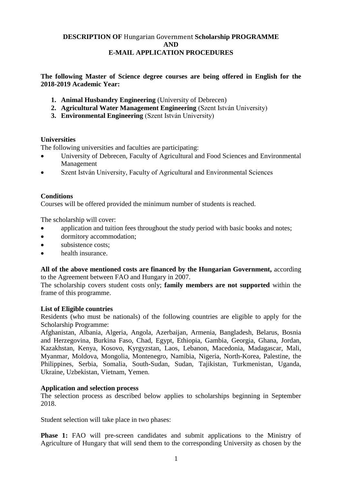# **DESCRIPTION OF** Hungarian Government **Scholarship PROGRAMME AND E-MAIL APPLICATION PROCEDURES**

**The following Master of Science degree courses are being offered in English for the 2018-2019 Academic Year:**

- **1. Animal Husbandry Engineering** (University of Debrecen)
- **2. Agricultural Water Management Engineering** (Szent István University)
- **3. Environmental Engineering** (Szent István University)

## **Universities**

The following universities and faculties are participating:

- University of Debrecen, Faculty of Agricultural and Food Sciences and Environmental Management
- Szent István University, Faculty of Agricultural and Environmental Sciences

## **Conditions**

Courses will be offered provided the minimum number of students is reached.

The scholarship will cover:

- application and tuition fees throughout the study period with basic books and notes;
- dormitory accommodation:
- subsistence costs:
- health insurance.

**All of the above mentioned costs are financed by the Hungarian Government,** according to the Agreement between FAO and Hungary in 2007.

The scholarship covers student costs only; **family members are not supported** within the frame of this programme.

## **List of Eligible countries**

Residents (who must be nationals) of the following countries are eligible to apply for the Scholarship Programme:

Afghanistan, Albania, Algeria, Angola, Azerbaijan, Armenia, Bangladesh, Belarus, Bosnia and Herzegovina, Burkina Faso, Chad, Egypt, Ethiopia, Gambia, Georgia, Ghana, Jordan, Kazakhstan, Kenya, Kosovo, Kyrgyzstan, Laos, Lebanon, Macedonia, Madagascar, Mali, Myanmar, Moldova, Mongolia, Montenegro, Namibia, Nigeria, North-Korea, Palestine, the Philippines, Serbia, Somalia, South-Sudan, Sudan, Tajikistan, Turkmenistan, Uganda, Ukraine, Uzbekistan, Vietnam, Yemen.

## **Application and selection process**

The selection process as described below applies to scholarships beginning in September 2018.

Student selection will take place in two phases:

**Phase 1:** FAO will pre-screen candidates and submit applications to the Ministry of Agriculture of Hungary that will send them to the corresponding University as chosen by the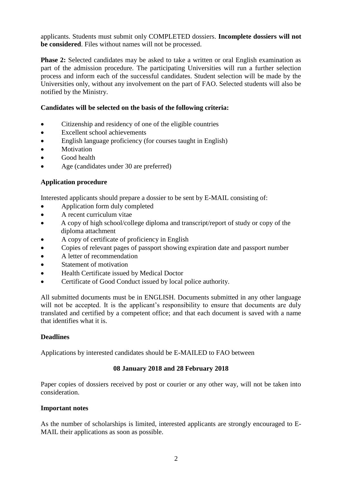applicants. Students must submit only COMPLETED dossiers. **Incomplete dossiers will not be considered**. Files without names will not be processed.

**Phase 2:** Selected candidates may be asked to take a written or oral English examination as part of the admission procedure. The participating Universities will run a further selection process and inform each of the successful candidates. Student selection will be made by the Universities only, without any involvement on the part of FAO. Selected students will also be notified by the Ministry.

# **Candidates will be selected on the basis of the following criteria:**

- Citizenship and residency of one of the eligible countries
- Excellent school achievements
- English language proficiency (for courses taught in English)
- Motivation
- Good health
- Age (candidates under 30 are preferred)

# **Application procedure**

Interested applicants should prepare a dossier to be sent by E-MAIL consisting of:

- Application form duly completed
- A recent curriculum vitae
- A copy of high school/college diploma and transcript/report of study or copy of the diploma attachment
- A copy of certificate of proficiency in English
- Copies of relevant pages of passport showing expiration date and passport number
- A letter of recommendation
- Statement of motivation
- Health Certificate issued by Medical Doctor
- Certificate of Good Conduct issued by local police authority.

All submitted documents must be in ENGLISH. Documents submitted in any other language will not be accepted. It is the applicant's responsibility to ensure that documents are duly translated and certified by a competent office; and that each document is saved with a name that identifies what it is.

# **Deadlines**

Applications by interested candidates should be E-MAILED to FAO between

# **08 January 2018 and 28 February 2018**

Paper copies of dossiers received by post or courier or any other way, will not be taken into consideration.

## **Important notes**

As the number of scholarships is limited, interested applicants are strongly encouraged to E-MAIL their applications as soon as possible.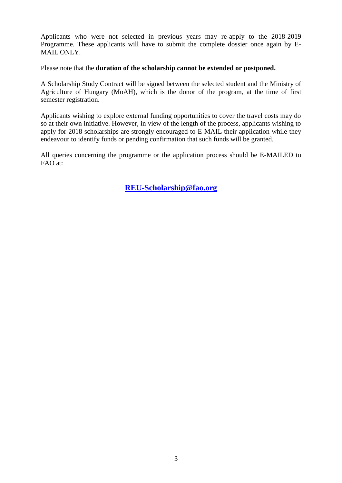Applicants who were not selected in previous years may re-apply to the 2018-2019 Programme. These applicants will have to submit the complete dossier once again by E-MAIL ONLY.

Please note that the **duration of the scholarship cannot be extended or postponed.**

A Scholarship Study Contract will be signed between the selected student and the Ministry of Agriculture of Hungary (MoAH), which is the donor of the program, at the time of first semester registration.

Applicants wishing to explore external funding opportunities to cover the travel costs may do so at their own initiative. However, in view of the length of the process, applicants wishing to apply for 2018 scholarships are strongly encouraged to E-MAIL their application while they endeavour to identify funds or pending confirmation that such funds will be granted.

All queries concerning the programme or the application process should be E-MAILED to FAO at:

**[REU-Scholarship@fao.org](mailto:REU-Scholarship@fao.org)**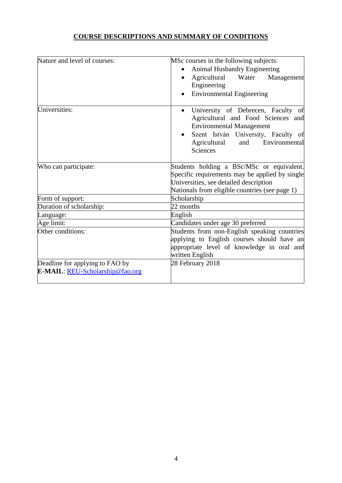# **COURSE DESCRIPTIONS AND SUMMARY OF CONDITIONS**

| Nature and level of courses:                 | MSc courses in the following subjects:                                                                                                                                                                 |
|----------------------------------------------|--------------------------------------------------------------------------------------------------------------------------------------------------------------------------------------------------------|
|                                              | <b>Animal Husbandry Engineering</b>                                                                                                                                                                    |
|                                              | Water<br>Agricultural<br>Management                                                                                                                                                                    |
|                                              | Engineering                                                                                                                                                                                            |
|                                              | <b>Environmental Engineering</b>                                                                                                                                                                       |
| Universities:                                | University of Debrecen, Faculty of<br>Agricultural and Food Sciences and<br><b>Environmental Management</b><br>Szent István University, Faculty of<br>Agricultural<br>and<br>Environmental<br>Sciences |
| Who can participate:                         | Students holding a BSc/MSc or equivalent.                                                                                                                                                              |
|                                              | Specific requirements may be applied by single                                                                                                                                                         |
|                                              | Universities, see detailed description                                                                                                                                                                 |
|                                              | Nationals from eligible countries (see page 1)<br>Scholarship                                                                                                                                          |
| Form of support:<br>Duration of scholarship: | 22 months                                                                                                                                                                                              |
|                                              |                                                                                                                                                                                                        |
| Language:                                    | English                                                                                                                                                                                                |
| Age limit:                                   | Candidates under age 30 preferred                                                                                                                                                                      |
| Other conditions:                            | Students from non-English speaking countries<br>applying to English courses should have an                                                                                                             |
|                                              | appropriate level of knowledge in oral and                                                                                                                                                             |
|                                              | written English                                                                                                                                                                                        |
| Deadline for applying to FAO by              | 28 February 2018                                                                                                                                                                                       |
| E-MAIL: REU-Scholarship@fao.org              |                                                                                                                                                                                                        |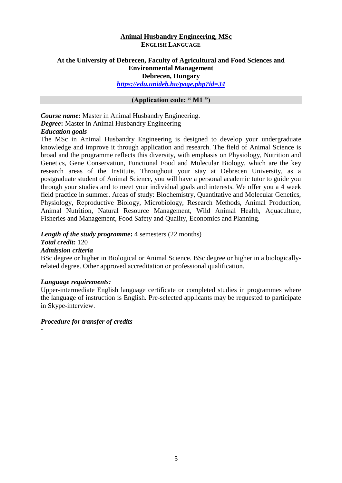### **Animal Husbandry Engineering, MSc ENGLISH LANGUAGE**

# **At the University of Debrecen, Faculty of Agricultural and Food Sciences and Environmental Management**

**Debrecen, Hungary**

*https://edu.unideb.hu/page.php?id=34* 

## **(Application code: " M1 ")**

*Course name:* Master in Animal Husbandry Engineering. *Degree***:** Master in Animal Husbandry Engineering *Education goals*

The MSc in Animal Husbandry Engineering is designed to develop your undergraduate knowledge and improve it through application and research. The field of Animal Science is broad and the programme reflects this diversity, with emphasis on Physiology, Nutrition and Genetics, Gene Conservation, Functional Food and Molecular Biology, which are the key research areas of the Institute. Throughout your stay at Debrecen University, as a postgraduate student of Animal Science, you will have a personal academic tutor to guide you through your studies and to meet your individual goals and interests. We offer you a 4 week field practice in summer. Areas of study: Biochemistry, Quantitative and Molecular Genetics, Physiology, Reproductive Biology, Microbiology, Research Methods, Animal Production, Animal Nutrition, Natural Resource Management, Wild Animal Health, Aquaculture, Fisheries and Management, Food Safety and Quality, Economics and Planning.

#### *Length of the study programme*: 4 semesters (22 months) *Total credit:* 120

# *Admission criteria*

-

BSc degree or higher in Biological or Animal Science. BSc degree or higher in a biologicallyrelated degree. Other approved accreditation or professional qualification.

## *Language requirements:*

Upper-intermediate English language certificate or completed studies in programmes where the language of instruction is English. Pre-selected applicants may be requested to participate in Skype-interview.

5

## *Procedure for transfer of credits*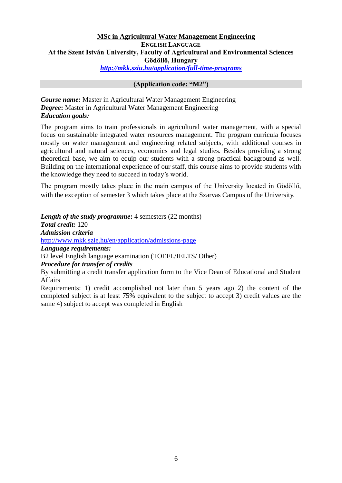# **MSc in Agricultural Water Management Engineering**

## **ENGLISH LANGUAGE At the Szent István University, Faculty of Agricultural and Environmental Sciences Gödöllő, Hungary** *<http://mkk.sziu.hu/application/full-time-programs>*

### **(Application code: "M2")**

*Course name:* Master in Agricultural Water Management Engineering *Degree***:** Master in Agricultural Water Management Engineering *Education goals:*

The program aims to train professionals in agricultural water management, with a special focus on sustainable integrated water resources management. The program curricula focuses mostly on water management and engineering related subjects, with additional courses in agricultural and natural sciences, economics and legal studies. Besides providing a strong theoretical base, we aim to equip our students with a strong practical background as well. Building on the international experience of our staff, this course aims to provide students with the knowledge they need to succeed in today's world.

The program mostly takes place in the main campus of the University located in Gödöllő, with the exception of semester 3 which takes place at the Szarvas Campus of the University.

*Length of the study programme*: 4 semesters (22 months) *Total credit:* 120 *Admission criteria* <http://www.mkk.szie.hu/en/application/admissions-page> *Language requirements:* B2 level English language examination (TOEFL/IELTS/ Other) *Procedure for transfer of credits*

By submitting a credit transfer application form to the Vice Dean of Educational and Student Affairs

Requirements: 1) credit accomplished not later than 5 years ago 2) the content of the completed subject is at least 75% equivalent to the subject to accept 3) credit values are the same 4) subject to accept was completed in English